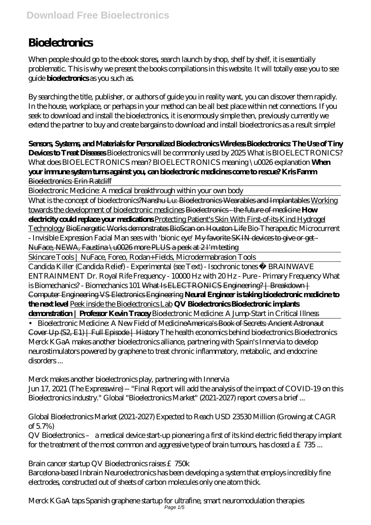## **Bioelectronics**

When people should go to the ebook stores, search launch by shop, shelf by shelf, it is essentially problematic. This is why we present the books compilations in this website. It will totally ease you to see guide **bioelectronics** as you such as.

By searching the title, publisher, or authors of guide you in reality want, you can discover them rapidly. In the house, workplace, or perhaps in your method can be all best place within net connections. If you seek to download and install the bioelectronics, it is enormously simple then, previously currently we extend the partner to buy and create bargains to download and install bioelectronics as a result simple!

**Sensors, Systems, and Materials for Personalized Bioelectronics Wireless Bioelectronics: The Use of Tiny Devices to Treat Diseases** Bioelectronics will be commonly used by 2025 *What is BIOELECTRONICS? What does BIOELECTRONICS mean? BIOELECTRONICS meaning \u0026 explanation* **When**

**your immune system turns against you, can bioelectronic medicines come to rescue? Kris Famm** Bioelectronics: Erin Ratcliff

Bioelectronic Medicine: A medical breakthrough within your own body

What is the concept of bioelectronics?<del>Nanshu Lu: Bioelectronics Wearables and Implantables</del> Working towards the development of bioelectronic medicines Bioelectronics - the future of medicine **How electricity could replace your medications** Protecting Patient's Skin With First-of-its-Kind Hydrogel Technology BioEnergetic Works demonstrates BioScan on Houston Life *Bio-Therapeutic Microcurrent - Invisible Expression Facial Man sees with 'bionic eye'* My favorite SKIN devices to give or get - NuFace, NEWA, Faustina \u0026 more PLUS a peek at 2 I'm testing

Skincare Tools | NuFace, Foreo, Rodan+Fields, Microdermabrasion Tools

Candida Killer (Candida Relief) - Experimental (see Text) - Isochronic tones ☯ BRAINWAVE ENTRAINMENT Dr. Royal Rife Frequency - 10000 Hz with 20 Hz - Pure - Primary Frequency *What is Biomechanics? - Biomechanics 101* What Is ELECTRONICS Engineering? | Breakdown | Computer Engineering VS Electronics Engineering **Neural Engineer is taking bioelectronic medicine to the next level** Peek inside the Bioelectronics Lab **QV Bioelectronics Bioelectronic implants demonstration | Professor Kevin Tracey** Bioelectronic Medicine: A Jump-Start in Critical Illness

• Bioelectronic Medicine: A New Field of Medicine<del>America's Book of Secrets: Ancient Astronaut</del> Cover Up (S2, E1) | Full Episode | History The health economics behind bioelectronics Bioelectronics Merck KGaA makes another bioelectronics alliance, partnering with Spain's Innervia to develop neurostimulators powered by graphene to treat chronic inflammatory, metabolic, and endocrine disorders ...

Merck makes another bioelectronics play, partnering with Innervia

Jun 17, 2021 (The Expresswire) -- "Final Report will add the analysis of the impact of COVID-19 on this Bioelectronics industry." Global "Bioelectronics Market" (2021-2027) report covers a brief ...

Global Bioelectronics Market (2021-2027) Expected to Reach USD 23530 Million (Growing at CAGR of 5.7%)

QV Bioelectronics – a medical device start-up pioneering a first of its kind electric field therapy implant for the treatment of the most common and aggressive type of brain tumours, has closed a £735...

Brain cancer startup QV Bioelectronics raises £750k

Barcelona-based Inbrain Neuroelectronics has been developing a system that employs incredibly fine electrodes, constructed out of sheets of carbon molecules only one atom thick.

Merck KGaA taps Spanish graphene startup for ultrafine, smart neuromodulation therapies Page 1/5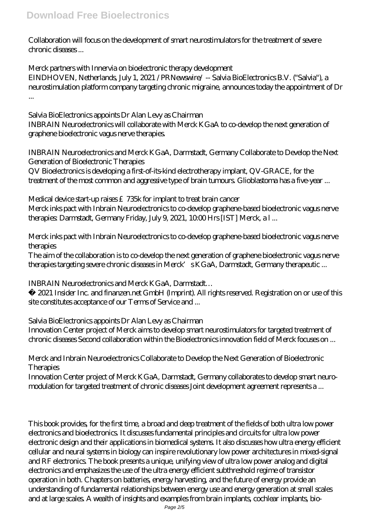Collaboration will focus on the development of smart neurostimulators for the treatment of severe chronic diseases ...

Merck partners with Innervia on bioelectronic therapy development EINDHOVEN, Netherlands, July 1, 2021 /PRNewswire/ -- Salvia BioElectronics B.V. ("Salvia"), a neurostimulation platform company targeting chronic migraine, announces today the appointment of Dr ...

Salvia BioElectronics appoints Dr Alan Levy as Chairman INBRAIN Neuroelectronics will collaborate with Merck KGaA to co-develop the next generation of graphene bioelectronic vagus nerve therapies.

INBRAIN Neuroelectronics and Merck KGaA, Darmstadt, Germany Collaborate to Develop the Next Generation of Bioelectronic Therapies

QV Bioelectronics is developing a first-of-its-kind electrotherapy implant, QV-GRACE, for the treatment of the most common and aggressive type of brain tumours. Glioblastoma has a five-year ...

Medical device start-up raises £735k for implant to treat brain cancer Merck inks pact with Inbrain Neuroelectronics to co-develop graphene-based bioelectronic vagus nerve therapies: Darmstadt, Germany Friday, July 9, 2021, 10:00 Hrs [IST] Merck, a l ...

Merck inks pact with Inbrain Neuroelectronics to co-develop graphene-based bioelectronic vagus nerve therapies

The aim of the collaboration is to co-develop the next generation of graphene bioelectronic vagus nerve therapies targeting severe chronic diseases in Merck's KGaA, Darmstadt, Germany therapeutic ...

INBRAIN Neuroelectronics and Merck KGaA, Darmstadt…

© 2021 Insider Inc. and finanzen.net GmbH (Imprint). All rights reserved. Registration on or use of this site constitutes acceptance of our Terms of Service and ...

Salvia BioElectronics appoints Dr Alan Levy as Chairman Innovation Center project of Merck aims to develop smart neurostimulators for targeted treatment of chronic diseases Second collaboration within the Bioelectronics innovation field of Merck focuses on ...

Merck and Inbrain Neuroelectronics Collaborate to Develop the Next Generation of Bioelectronic **Therapies** 

Innovation Center project of Merck KGaA, Darmstadt, Germany collaborates to develop smart neuromodulation for targeted treatment of chronic diseases Joint development agreement represents a ...

This book provides, for the first time, a broad and deep treatment of the fields of both ultra low power electronics and bioelectronics. It discusses fundamental principles and circuits for ultra low power electronic design and their applications in biomedical systems. It also discusses how ultra energy efficient cellular and neural systems in biology can inspire revolutionary low power architectures in mixed-signal and RF electronics. The book presents a unique, unifying view of ultra low power analog and digital electronics and emphasizes the use of the ultra energy efficient subthreshold regime of transistor operation in both. Chapters on batteries, energy harvesting, and the future of energy provide an understanding of fundamental relationships between energy use and energy generation at small scales and at large scales. A wealth of insights and examples from brain implants, cochlear implants, bio-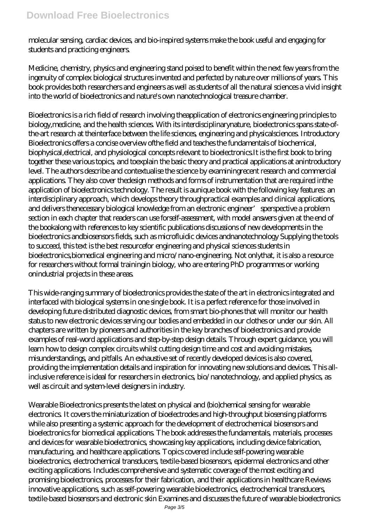molecular sensing, cardiac devices, and bio-inspired systems make the book useful and engaging for students and practicing engineers.

Medicine, chemistry, physics and engineering stand poised to benefit within the next few years from the ingenuity of complex biological structures invented and perfected by nature over millions of years. This book provides both researchers and engineers as well as students of all the natural sciences a vivid insight into the world of bioelectronics and nature's own nanotechnological treasure chamber.

Bioelectronics is a rich field of research involving theapplication of electronics engineering principles to biology,medicine, and the health sciences. With its interdisciplinarynature, bioelectronics spans state-ofthe-art research at theinterface between the life sciences, engineering and physicalsciences. Introductory Bioelectronics offers a concise overview ofthe field and teaches the fundamentals of biochemical, biophysical,electrical, and physiological concepts relevant to bioelectronics.It is the first book to bring together these various topics, and toexplain the basic theory and practical applications at anintroductory level. The authors describe and contextualise the science by examiningrecent research and commercial applications. They also cover thedesign methods and forms of instrumentation that are required inthe application of bioelectronics technology. The result is aunique book with the following key features: an interdisciplinary approach, which develops theory throughpractical examples and clinical applications, and delivers thenecessary biological knowledge from an electronic engineer'sperspective a problem section in each chapter that readers can use forself-assessment, with model answers given at the end of the bookalong with references to key scientific publications discussions of new developments in the bioelectronics andbiosensors fields, such as microfluidic devices andnanotechnology Supplying the tools to succeed, this text is the best resourcefor engineering and physical sciences students in bioelectronics,biomedical engineering and micro/nano-engineering. Not onlythat, it is also a resource for researchers without formal trainingin biology, who are entering PhD programmes or working onindustrial projects in these areas.

This wide-ranging summary of bioelectronics provides the state of the art in electronics integrated and interfaced with biological systems in one single book. It is a perfect reference for those involved in developing future distributed diagnostic devices, from smart bio-phones that will monitor our health status to new electronic devices serving our bodies and embedded in our clothes or under our skin. All chapters are written by pioneers and authorities in the key branches of bioelectronics and provide examples of real-word applications and step-by-step design details. Through expert guidance, you will learn how to design complex circuits whilst cutting design time and cost and avoiding mistakes, misunderstandings, and pitfalls. An exhaustive set of recently developed devices is also covered, providing the implementation details and inspiration for innovating new solutions and devices. This allinclusive reference is ideal for researchers in electronics, bio/nanotechnology, and applied physics, as well as circuit and system-level designers in industry.

Wearable Bioelectronics presents the latest on physical and (bio)chemical sensing for wearable electronics. It covers the miniaturization of bioelectrodes and high-throughput biosensing platforms while also presenting a systemic approach for the development of electrochemical biosensors and bioelectronics for biomedical applications. The book addresses the fundamentals, materials, processes and devices for wearable bioelectronics, showcasing key applications, including device fabrication, manufacturing, and healthcare applications. Topics covered include self-powering wearable bioelectronics, electrochemical transducers, textile-based biosensors, epidermal electronics and other exciting applications. Includes comprehensive and systematic coverage of the most exciting and promising bioelectronics, processes for their fabrication, and their applications in healthcare Reviews innovative applications, such as self-powering wearable bioelectronics, electrochemical transducers, textile-based biosensors and electronic skin Examines and discusses the future of wearable bioelectronics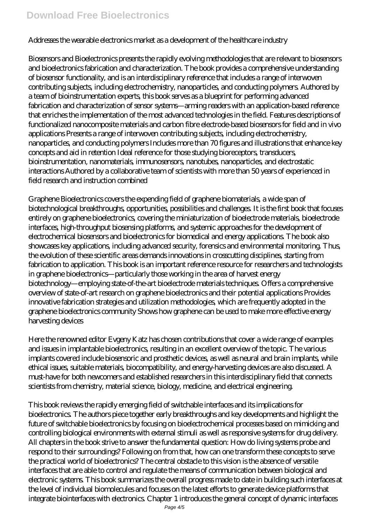## **Download Free Bioelectronics**

## Addresses the wearable electronics market as a development of the healthcare industry

Biosensors and Bioelectronics presents the rapidly evolving methodologies that are relevant to biosensors and bioelectronics fabrication and characterization. The book provides a comprehensive understanding of biosensor functionality, and is an interdisciplinary reference that includes a range of interwoven contributing subjects, including electrochemistry, nanoparticles, and conducting polymers. Authored by a team of bioinstrumentation experts, this book serves as a blueprint for performing advanced fabrication and characterization of sensor systems—arming readers with an application-based reference that enriches the implementation of the most advanced technologies in the field. Features descriptions of functionalized nanocomposite materials and carbon fibre electrode-based biosensors for field and in vivo applications Presents a range of interwoven contributing subjects, including electrochemistry, nanoparticles, and conducting polymers Includes more than 70 figures and illustrations that enhance key concepts and aid in retention Ideal reference for those studying bioreceptors, transducers, bioinstrumentation, nanomaterials, immunosensors, nanotubes, nanoparticles, and electrostatic interactions Authored by a collaborative team of scientists with more than 50 years of experienced in field research and instruction combined

Graphene Bioelectronics covers the expending field of graphene biomaterials, a wide span of biotechnological breakthroughs, opportunities, possibilities and challenges. It is the first book that focuses entirely on graphene bioelectronics, covering the miniaturization of bioelectrode materials, bioelectrode interfaces, high-throughput biosensing platforms, and systemic approaches for the development of electrochemical biosensors and bioelectronics for biomedical and energy applications. The book also showcases key applications, including advanced security, forensics and environmental monitoring. Thus, the evolution of these scientific areas demands innovations in crosscutting disciplines, starting from fabrication to application. This book is an important reference resource for researchers and technologists in graphene bioelectronics—particularly those working in the area of harvest energy biotechnology—employing state-of-the-art bioelectrode materials techniques. Offers a comprehensive overview of state-of-art research on graphene bioelectronics and their potential applications Provides innovative fabrication strategies and utilization methodologies, which are frequently adopted in the graphene bioelectronics community Shows how graphene can be used to make more effective energy harvesting devices

Here the renowned editor Evgeny Katz has chosen contributions that cover a wide range of examples and issues in implantable bioelectronics, resulting in an excellent overview of the topic. The various implants covered include biosensoric and prosthetic devices, as well as neural and brain implants, while ethical issues, suitable materials, biocompatibility, and energy-harvesting devices are also discussed. A must-have for both newcomers and established researchers in this interdisciplinary field that connects scientists from chemistry, material science, biology, medicine, and electrical engineering.

This book reviews the rapidly emerging field of switchable interfaces and its implications for bioelectronics. The authors piece together early breakthroughs and key developments and highlight the future of switchable bioelectronics by focusing on bioelectrochemical processes based on mimicking and controlling biological environments with external stimuli as well as responsive systems for drug delivery. All chapters in the book strive to answer the fundamental question: How do living systems probe and respond to their surroundings? Following on from that, how can one transform these concepts to serve the practical world of bioelectronics? The central obstacle to this vision is the absence of versatile interfaces that are able to control and regulate the means of communication between biological and electronic systems. This book summarizes the overall progress made to date in building such interfaces at the level of individual biomolecules and focuses on the latest efforts to generate device platforms that integrate biointerfaces with electronics. Chapter 1 introduces the general concept of dynamic interfaces